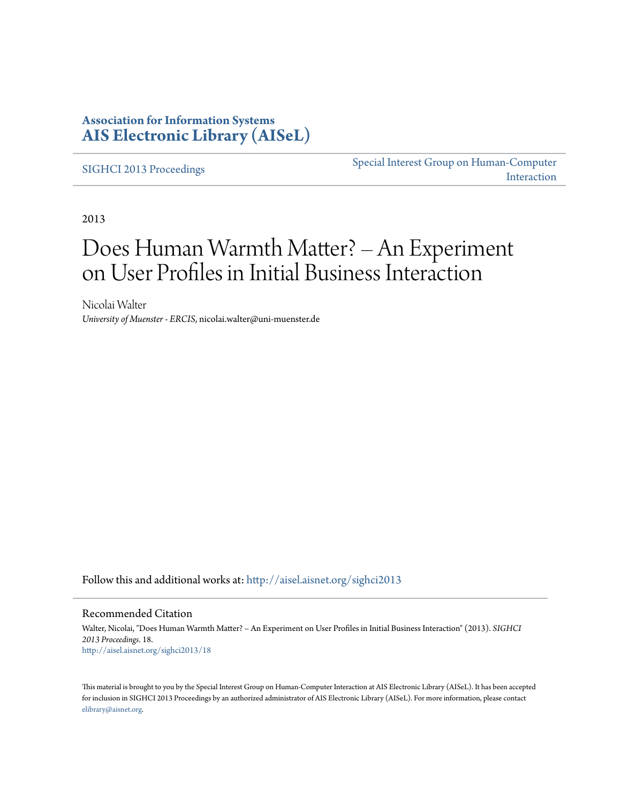### **Association for Information Systems [AIS Electronic Library \(AISeL\)](http://aisel.aisnet.org?utm_source=aisel.aisnet.org%2Fsighci2013%2F18&utm_medium=PDF&utm_campaign=PDFCoverPages)**

[SIGHCI 2013 Proceedings](http://aisel.aisnet.org/sighci2013?utm_source=aisel.aisnet.org%2Fsighci2013%2F18&utm_medium=PDF&utm_campaign=PDFCoverPages)

[Special Interest Group on Human-Computer](http://aisel.aisnet.org/sighci?utm_source=aisel.aisnet.org%2Fsighci2013%2F18&utm_medium=PDF&utm_campaign=PDFCoverPages) [Interaction](http://aisel.aisnet.org/sighci?utm_source=aisel.aisnet.org%2Fsighci2013%2F18&utm_medium=PDF&utm_campaign=PDFCoverPages)

2013

# Does Human Warmth Matter? – An Experiment on User Profiles in Initial Business Interaction

Nicolai Walter *University of Muenster - ERCIS*, nicolai.walter@uni-muenster.de

Follow this and additional works at: [http://aisel.aisnet.org/sighci2013](http://aisel.aisnet.org/sighci2013?utm_source=aisel.aisnet.org%2Fsighci2013%2F18&utm_medium=PDF&utm_campaign=PDFCoverPages)

#### Recommended Citation

Walter, Nicolai, "Does Human Warmth Matter? – An Experiment on User Profiles in Initial Business Interaction" (2013). *SIGHCI 2013 Proceedings*. 18. [http://aisel.aisnet.org/sighci2013/18](http://aisel.aisnet.org/sighci2013/18?utm_source=aisel.aisnet.org%2Fsighci2013%2F18&utm_medium=PDF&utm_campaign=PDFCoverPages)

This material is brought to you by the Special Interest Group on Human-Computer Interaction at AIS Electronic Library (AISeL). It has been accepted for inclusion in SIGHCI 2013 Proceedings by an authorized administrator of AIS Electronic Library (AISeL). For more information, please contact [elibrary@aisnet.org.](mailto:elibrary@aisnet.org%3E)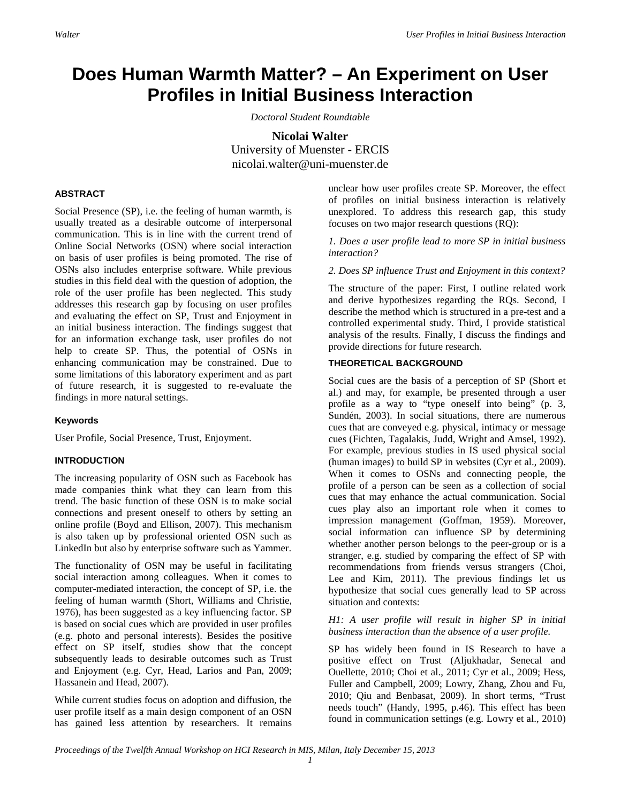## **Does Human Warmth Matter? – An Experiment on User Profiles in Initial Business Interaction**

*Doctoral Student Roundtable*

**Nicolai Walter** University of Muenster - ERCIS nicolai.walter@uni-muenster.de

#### **ABSTRACT**

Social Presence (SP), i.e. the feeling of human warmth, is usually treated as a desirable outcome of interpersonal communication. This is in line with the current trend of Online Social Networks (OSN) where social interaction on basis of user profiles is being promoted. The rise of OSNs also includes enterprise software. While previous studies in this field deal with the question of adoption, the role of the user profile has been neglected. This study addresses this research gap by focusing on user profiles and evaluating the effect on SP, Trust and Enjoyment in an initial business interaction. The findings suggest that for an information exchange task, user profiles do not help to create SP. Thus, the potential of OSNs in enhancing communication may be constrained. Due to some limitations of this laboratory experiment and as part of future research, it is suggested to re-evaluate the findings in more natural settings.

#### **Keywords**

User Profile, Social Presence, Trust, Enjoyment.

#### **INTRODUCTION**

The increasing popularity of OSN such as Facebook has made companies think what they can learn from this trend. The basic function of these OSN is to make social connections and present oneself to others by setting an online profile (Boyd and Ellison, 2007). This mechanism is also taken up by professional oriented OSN such as LinkedIn but also by enterprise software such as Yammer.

The functionality of OSN may be useful in facilitating social interaction among colleagues. When it comes to computer-mediated interaction, the concept of SP, i.e. the feeling of human warmth (Short, Williams and Christie, 1976), has been suggested as a key influencing factor. SP is based on social cues which are provided in user profiles (e.g. photo and personal interests). Besides the positive effect on SP itself, studies show that the concept subsequently leads to desirable outcomes such as Trust and Enjoyment (e.g. Cyr, Head, Larios and Pan, 2009; Hassanein and Head, 2007).

While current studies focus on adoption and diffusion, the user profile itself as a main design component of an OSN has gained less attention by researchers. It remains unclear how user profiles create SP. Moreover, the effect of profiles on initial business interaction is relatively unexplored. To address this research gap, this study focuses on two major research questions (RQ):

*1. Does a user profile lead to more SP in initial business interaction?*

*2. Does SP influence Trust and Enjoyment in this context?*

The structure of the paper: First, I outline related work and derive hypothesizes regarding the RQs. Second, I describe the method which is structured in a pre-test and a controlled experimental study. Third, I provide statistical analysis of the results. Finally, I discuss the findings and provide directions for future research.

#### **THEORETICAL BACKGROUND**

Social cues are the basis of a perception of SP (Short et al.) and may, for example, be presented through a user profile as a way to "type oneself into being" (p. 3, Sundén, 2003). In social situations, there are numerous cues that are conveyed e.g. physical, intimacy or message cues (Fichten, Tagalakis, Judd, Wright and Amsel, 1992). For example, previous studies in IS used physical social (human images) to build SP in websites (Cyr et al., 2009). When it comes to OSNs and connecting people, the profile of a person can be seen as a collection of social cues that may enhance the actual communication. Social cues play also an important role when it comes to impression management (Goffman, 1959). Moreover, social information can influence SP by determining whether another person belongs to the peer-group or is a stranger, e.g. studied by comparing the effect of SP with recommendations from friends versus strangers (Choi, Lee and Kim, 2011). The previous findings let us hypothesize that social cues generally lead to SP across situation and contexts:

#### *H1: A user profile will result in higher SP in initial business interaction than the absence of a user profile.*

SP has widely been found in IS Research to have a positive effect on Trust (Aljukhadar, Senecal and Ouellette, 2010; Choi et al., 2011; Cyr et al., 2009; Hess, Fuller and Campbell, 2009; Lowry, Zhang, Zhou and Fu, 2010; Qiu and Benbasat, 2009). In short terms, "Trust needs touch" (Handy, 1995, p.46). This effect has been found in communication settings (e.g. Lowry et al., 2010)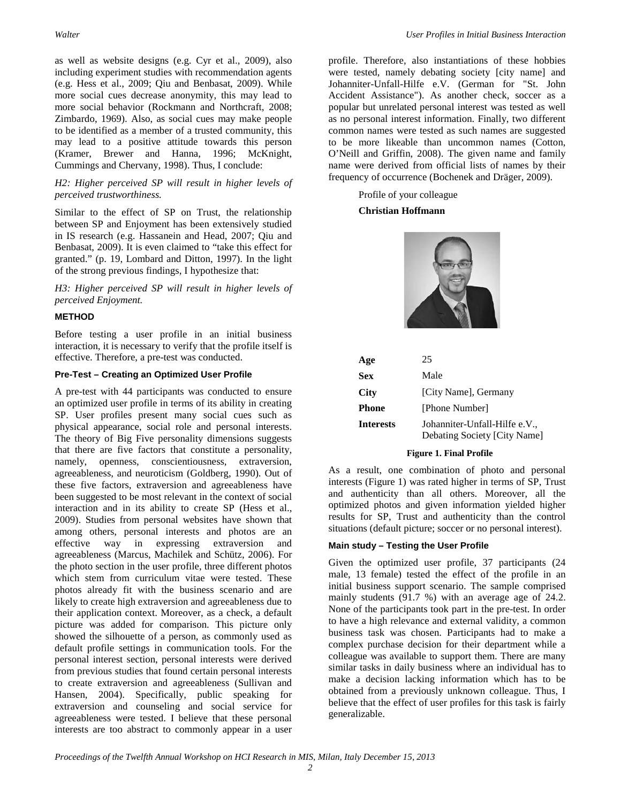as well as website designs (e.g. Cyr et al., 2009), also including experiment studies with recommendation agents (e.g. Hess et al., 2009; Qiu and Benbasat, 2009). While more social cues decrease anonymity, this may lead to more social behavior (Rockmann and Northcraft, 2008; Zimbardo, 1969). Also, as social cues may make people to be identified as a member of a trusted community, this may lead to a positive attitude towards this person (Kramer, Brewer and Hanna, 1996; McKnight, Cummings and Chervany, 1998). Thus, I conclude:

#### *H2: Higher perceived SP will result in higher levels of perceived trustworthiness.*

Similar to the effect of SP on Trust, the relationship between SP and Enjoyment has been extensively studied in IS research (e.g. Hassanein and Head, 2007; Qiu and Benbasat, 2009). It is even claimed to "take this effect for granted." (p. 19, Lombard and Ditton, 1997). In the light of the strong previous findings, I hypothesize that:

*H3: Higher perceived SP will result in higher levels of perceived Enjoyment.*

#### **METHOD**

Before testing a user profile in an initial business interaction, it is necessary to verify that the profile itself is effective. Therefore, a pre-test was conducted.

#### **Pre-Test – Creating an Optimized User Profile**

A pre-test with 44 participants was conducted to ensure an optimized user profile in terms of its ability in creating SP. User profiles present many social cues such as physical appearance, social role and personal interests. The theory of Big Five personality dimensions suggests that there are five factors that constitute a personality, namely, openness, conscientiousness, extraversion, agreeableness, and neuroticism (Goldberg, 1990). Out of these five factors, extraversion and agreeableness have been suggested to be most relevant in the context of social interaction and in its ability to create SP (Hess et al., 2009). Studies from personal websites have shown that among others, personal interests and photos are an effective way in expressing extraversion and agreeableness (Marcus, Machilek and Schütz, 2006). For the photo section in the user profile, three different photos which stem from curriculum vitae were tested. These photos already fit with the business scenario and are likely to create high extraversion and agreeableness due to their application context. Moreover, as a check, a default picture was added for comparison. This picture only showed the silhouette of a person, as commonly used as default profile settings in communication tools. For the personal interest section, personal interests were derived from previous studies that found certain personal interests to create extraversion and agreeableness (Sullivan and Hansen, 2004). Specifically, public speaking for extraversion and counseling and social service for agreeableness were tested. I believe that these personal interests are too abstract to commonly appear in a user

profile. Therefore, also instantiations of these hobbies were tested, namely debating society [city name] and Johanniter-Unfall-Hilfe e.V. (German for "St. John Accident Assistance"). As another check, soccer as a popular but unrelated personal interest was tested as well as no personal interest information. Finally, two different common names were tested as such names are suggested to be more likeable than uncommon names (Cotton, O'Neill and Griffin, 2008). The given name and family name were derived from official lists of names by their frequency of occurrence (Bochenek and Dräger, 2009).

Profile of your colleague

#### **Christian Hoffmann**



| Age       | 25                                                            |  |  |
|-----------|---------------------------------------------------------------|--|--|
| Sex       | Male                                                          |  |  |
| City      | [City Name], Germany                                          |  |  |
| Phone     | [Phone Number]                                                |  |  |
| Interests | Johanniter-Unfall-Hilfe e.V.,<br>Debating Society [City Name] |  |  |

#### **Figure 1. Final Profile**

As a result, one combination of photo and personal interests (Figure 1) was rated higher in terms of SP, Trust and authenticity than all others. Moreover, all the optimized photos and given information yielded higher results for SP, Trust and authenticity than the control situations (default picture; soccer or no personal interest).

#### **Main study – Testing the User Profile**

Given the optimized user profile, 37 participants (24 male, 13 female) tested the effect of the profile in an initial business support scenario. The sample comprised mainly students (91.7 %) with an average age of 24.2. None of the participants took part in the pre-test. In order to have a high relevance and external validity, a common business task was chosen. Participants had to make a complex purchase decision for their department while a colleague was available to support them. There are many similar tasks in daily business where an individual has to make a decision lacking information which has to be obtained from a previously unknown colleague. Thus, I believe that the effect of user profiles for this task is fairly generalizable.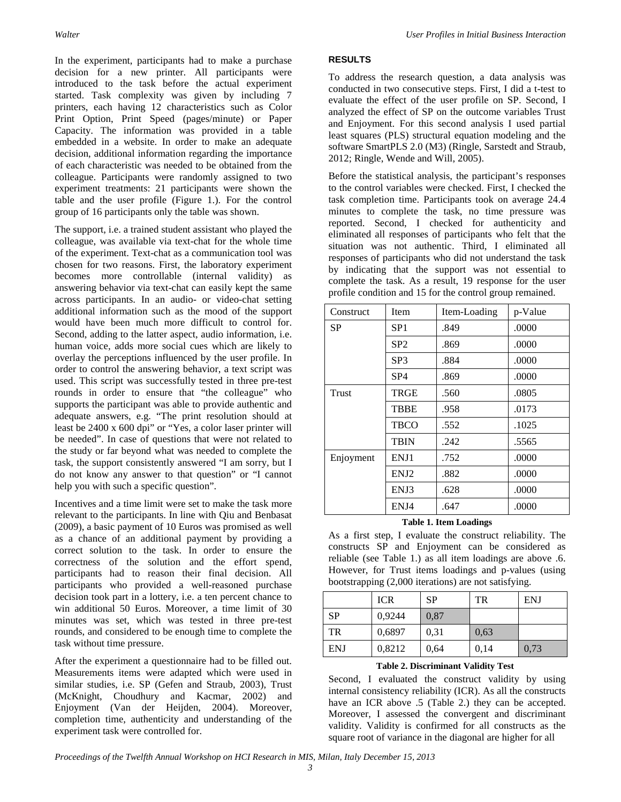In the experiment, participants had to make a purchase decision for a new printer. All participants were introduced to the task before the actual experiment started. Task complexity was given by including 7 printers, each having 12 characteristics such as Color Print Option, Print Speed (pages/minute) or Paper Capacity. The information was provided in a table embedded in a website. In order to make an adequate decision, additional information regarding the importance of each characteristic was needed to be obtained from the colleague. Participants were randomly assigned to two experiment treatments: 21 participants were shown the table and the user profile (Figure 1.). For the control group of 16 participants only the table was shown.

The support, i.e. a trained student assistant who played the colleague, was available via text-chat for the whole time of the experiment. Text-chat as a communication tool was chosen for two reasons. First, the laboratory experiment becomes more controllable (internal validity) as answering behavior via text-chat can easily kept the same across participants. In an audio- or video-chat setting additional information such as the mood of the support would have been much more difficult to control for. Second, adding to the latter aspect, audio information, i.e. human voice, adds more social cues which are likely to overlay the perceptions influenced by the user profile. In order to control the answering behavior, a text script was used. This script was successfully tested in three pre-test rounds in order to ensure that "the colleague" who supports the participant was able to provide authentic and adequate answers, e.g. "The print resolution should at least be 2400 x 600 dpi" or "Yes, a color laser printer will be needed". In case of questions that were not related to the study or far beyond what was needed to complete the task, the support consistently answered "I am sorry, but I do not know any answer to that question" or "I cannot help you with such a specific question".

Incentives and a time limit were set to make the task more relevant to the participants. In line with Qiu and Benbasat (2009), a basic payment of 10 Euros was promised as well as a chance of an additional payment by providing a correct solution to the task. In order to ensure the correctness of the solution and the effort spend, participants had to reason their final decision. All participants who provided a well-reasoned purchase decision took part in a lottery, i.e. a ten percent chance to win additional 50 Euros. Moreover, a time limit of 30 minutes was set, which was tested in three pre-test rounds, and considered to be enough time to complete the task without time pressure.

After the experiment a questionnaire had to be filled out. Measurements items were adapted which were used in similar studies, i.e. SP (Gefen and Straub, 2003), Trust (McKnight, Choudhury and Kacmar, 2002) and Enjoyment (Van der Heijden, 2004). Moreover, completion time, authenticity and understanding of the experiment task were controlled for.

#### **RESULTS**

To address the research question, a data analysis was conducted in two consecutive steps. First, I did a t-test to evaluate the effect of the user profile on SP. Second, I analyzed the effect of SP on the outcome variables Trust and Enjoyment. For this second analysis I used partial least squares (PLS) structural equation modeling and the software SmartPLS 2.0 (M3) (Ringle, Sarstedt and Straub, 2012; Ringle, Wende and Will, 2005).

Before the statistical analysis, the participant's responses to the control variables were checked. First, I checked the task completion time. Participants took on average 24.4 minutes to complete the task, no time pressure was reported. Second, I checked for authenticity and eliminated all responses of participants who felt that the situation was not authentic. Third, I eliminated all responses of participants who did not understand the task by indicating that the support was not essential to complete the task. As a result, 19 response for the user profile condition and 15 for the control group remained.

| Construct | Item            | Item-Loading | p-Value |
|-----------|-----------------|--------------|---------|
| <b>SP</b> | SP1             | .849         | .0000   |
|           | SP <sub>2</sub> | .869         |         |
|           | SP3             | .884         | .0000   |
|           | SP4             | .869         | .0000   |
| Trust     | TRGE            | .560         | .0805   |
|           | <b>TBBE</b>     | .958         | .0173   |
|           | <b>TBCO</b>     | .552         | .1025   |
|           | <b>TBIN</b>     | .242         | .5565   |
| Enjoyment | ENJ1            | .752         | .0000   |
|           | ENJ2            | .882         | .0000   |
|           | ENJ3            | .628         | .0000   |
|           | ENJ4            | .647         | .0000   |

#### **Table 1. Item Loadings**

As a first step, I evaluate the construct reliability. The constructs SP and Enjoyment can be considered as reliable (see Table 1.) as all item loadings are above .6. However, for Trust items loadings and p-values (using bootstrapping (2,000 iterations) are not satisfying.

|            | <b>ICR</b> | <b>SP</b> | TR   | <b>ENJ</b> |
|------------|------------|-----------|------|------------|
| <b>SP</b>  | 0,9244     | 0.87      |      |            |
| <b>TR</b>  | 0,6897     | 0.31      | 0.63 |            |
| <b>ENJ</b> | 0,8212     | 0,64      | 0,14 | 0,73       |

#### **Table 2. Discriminant Validity Test**

Second, I evaluated the construct validity by using internal consistency reliability (ICR). As all the constructs have an ICR above .5 (Table 2.) they can be accepted. Moreover, I assessed the convergent and discriminant validity. Validity is confirmed for all constructs as the square root of variance in the diagonal are higher for all

*Proceedings of the Twelfth Annual Workshop on HCI Research in MIS, Milan, Italy December 15, 2013*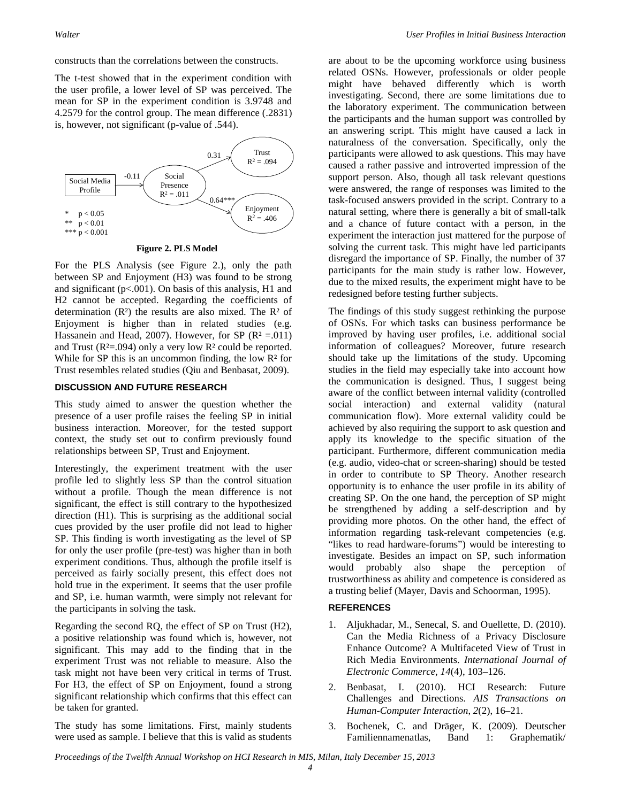constructs than the correlations between the constructs.

The t-test showed that in the experiment condition with the user profile, a lower level of SP was perceived. The mean for SP in the experiment condition is 3.9748 and 4.2579 for the control group. The mean difference (.2831) is, however, not significant (p-value of .544).



**Figure 2. PLS Model**

For the PLS Analysis (see Figure 2.), only the path between SP and Enjoyment (H3) was found to be strong and significant (p<.001). On basis of this analysis, H1 and H2 cannot be accepted. Regarding the coefficients of determination  $(R<sup>2</sup>)$  the results are also mixed. The  $R<sup>2</sup>$  of Enjoyment is higher than in related studies (e.g. Hassanein and Head, 2007). However, for SP ( $\mathbb{R}^2 = 011$ ) and Trust ( $R^2 = .094$ ) only a very low  $R^2$  could be reported. While for SP this is an uncommon finding, the low  $\mathbb{R}^2$  for Trust resembles related studies (Qiu and Benbasat, 2009).

#### **DISCUSSION AND FUTURE RESEARCH**

This study aimed to answer the question whether the presence of a user profile raises the feeling SP in initial business interaction. Moreover, for the tested support context, the study set out to confirm previously found relationships between SP, Trust and Enjoyment.

Interestingly, the experiment treatment with the user profile led to slightly less SP than the control situation without a profile. Though the mean difference is not significant, the effect is still contrary to the hypothesized direction (H1). This is surprising as the additional social cues provided by the user profile did not lead to higher SP. This finding is worth investigating as the level of SP for only the user profile (pre-test) was higher than in both experiment conditions. Thus, although the profile itself is perceived as fairly socially present, this effect does not hold true in the experiment. It seems that the user profile and SP, i.e. human warmth, were simply not relevant for the participants in solving the task.

Regarding the second RQ, the effect of SP on Trust (H2), a positive relationship was found which is, however, not significant. This may add to the finding that in the experiment Trust was not reliable to measure. Also the task might not have been very critical in terms of Trust. For H3, the effect of SP on Enjoyment, found a strong significant relationship which confirms that this effect can be taken for granted.

The study has some limitations. First, mainly students were used as sample. I believe that this is valid as students are about to be the upcoming workforce using business related OSNs. However, professionals or older people might have behaved differently which is worth investigating. Second, there are some limitations due to the laboratory experiment. The communication between the participants and the human support was controlled by an answering script. This might have caused a lack in naturalness of the conversation. Specifically, only the participants were allowed to ask questions. This may have caused a rather passive and introverted impression of the support person. Also, though all task relevant questions were answered, the range of responses was limited to the task-focused answers provided in the script. Contrary to a natural setting, where there is generally a bit of small-talk and a chance of future contact with a person, in the experiment the interaction just mattered for the purpose of solving the current task. This might have led participants disregard the importance of SP. Finally, the number of 37 participants for the main study is rather low. However, due to the mixed results, the experiment might have to be redesigned before testing further subjects.

The findings of this study suggest rethinking the purpose of OSNs. For which tasks can business performance be improved by having user profiles, i.e. additional social information of colleagues? Moreover, future research should take up the limitations of the study. Upcoming studies in the field may especially take into account how the communication is designed. Thus, I suggest being aware of the conflict between internal validity (controlled social interaction) and external validity (natural communication flow). More external validity could be achieved by also requiring the support to ask question and apply its knowledge to the specific situation of the participant. Furthermore, different communication media (e.g. audio, video-chat or screen-sharing) should be tested in order to contribute to SP Theory. Another research opportunity is to enhance the user profile in its ability of creating SP. On the one hand, the perception of SP might be strengthened by adding a self-description and by providing more photos. On the other hand, the effect of information regarding task-relevant competencies (e.g. "likes to read hardware-forums") would be interesting to investigate. Besides an impact on SP, such information would probably also shape the perception of trustworthiness as ability and competence is considered as a trusting belief (Mayer, Davis and Schoorman, 1995).

#### **REFERENCES**

- 1. Aljukhadar, M., Senecal, S. and Ouellette, D. (2010). Can the Media Richness of a Privacy Disclosure Enhance Outcome? A Multifaceted View of Trust in Rich Media Environments. *International Journal of Electronic Commerce*, *14*(4), 103–126.
- 2. Benbasat, I. (2010). HCI Research: Future Challenges and Directions. *AIS Transactions on Human-Computer Interaction*, *2*(2), 16–21.
- 3. Bochenek, C. and Dräger, K. (2009). Deutscher Familiennamenatlas, Band 1: Graphematik/

*Proceedings of the Twelfth Annual Workshop on HCI Research in MIS, Milan, Italy December 15, 2013*